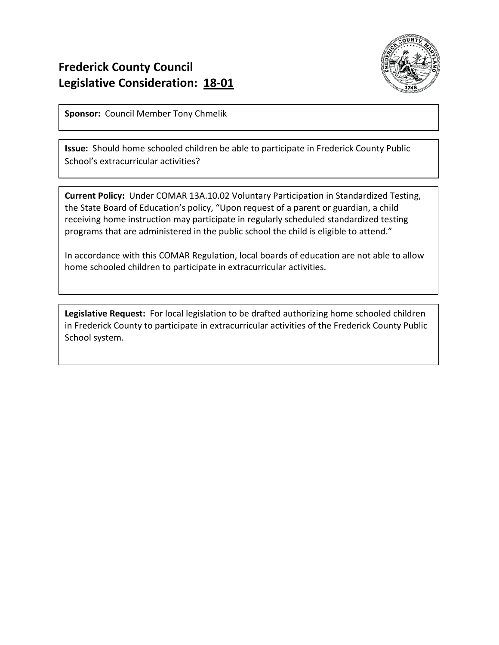

**Sponsor:** Council Member Tony Chmelik

**Issue:** Should home schooled children be able to participate in Frederick County Public School's extracurricular activities?

**Current Policy:** Under COMAR 13A.10.02 Voluntary Participation in Standardized Testing, the State Board of Education's policy, "Upon request of a parent or guardian, a child receiving home instruction may participate in regularly scheduled standardized testing programs that are administered in the public school the child is eligible to attend."

In accordance with this COMAR Regulation, local boards of education are not able to allow home schooled children to participate in extracurricular activities.

**Legislative Request:** For local legislation to be drafted authorizing home schooled children in Frederick County to participate in extracurricular activities of the Frederick County Public School system.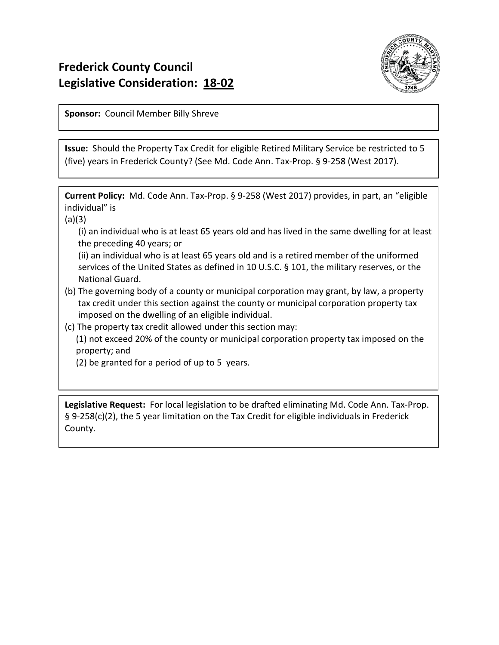

**Sponsor:** Council Member Billy Shreve

**Issue:** Should the Property Tax Credit for eligible Retired Military Service be restricted to 5 (five) years in Frederick County? (See Md. Code Ann. Tax-Prop. § 9-258 (West 2017).

**Current Policy:** Md. Code Ann. Tax-Prop. § 9-258 (West 2017) provides, in part, an "eligible individual" is

(a)(3)

 (i) an individual who is at least 65 years old and has lived in the same dwelling for at least the preceding 40 years; or

 (ii) an individual who is at least 65 years old and is a retired member of the uniformed services of the United States as defined in 10 U.S.C. § 101, the military reserves, or the National Guard.

- (b) The governing body of a county or municipal corporation may grant, by law, a property tax credit under this section against the county or municipal corporation property tax imposed on the dwelling of an eligible individual.
- (c) The property tax credit allowed under this section may:

 (1) not exceed 20% of the county or municipal corporation property tax imposed on the property; and

(2) be granted for a period of up to 5 years.

**Legislative Request:** For local legislation to be drafted eliminating Md. Code Ann. Tax-Prop. § 9-258(c)(2), the 5 year limitation on the Tax Credit for eligible individuals in Frederick County.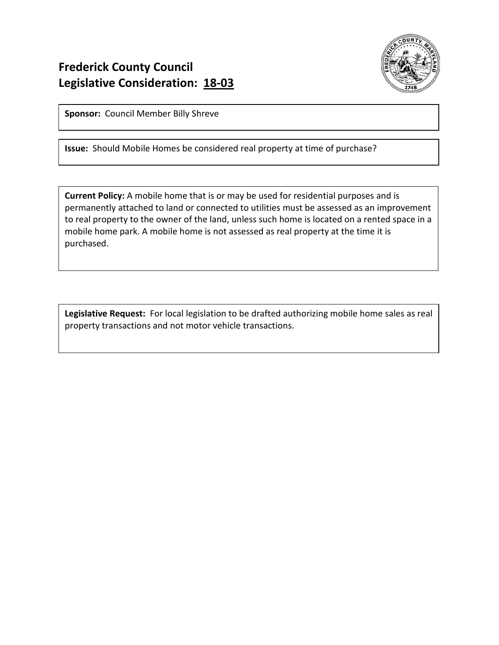

**Sponsor:** Council Member Billy Shreve

**Issue:** Should Mobile Homes be considered real property at time of purchase?

**Current Policy:** A mobile home that is or may be used for residential purposes and is permanently attached to land or connected to utilities must be assessed as an improvement to real property to the owner of the land, unless such home is located on a rented space in a mobile home park. A mobile home is not assessed as real property at the time it is purchased.

**Legislative Request:** For local legislation to be drafted authorizing mobile home sales as real property transactions and not motor vehicle transactions.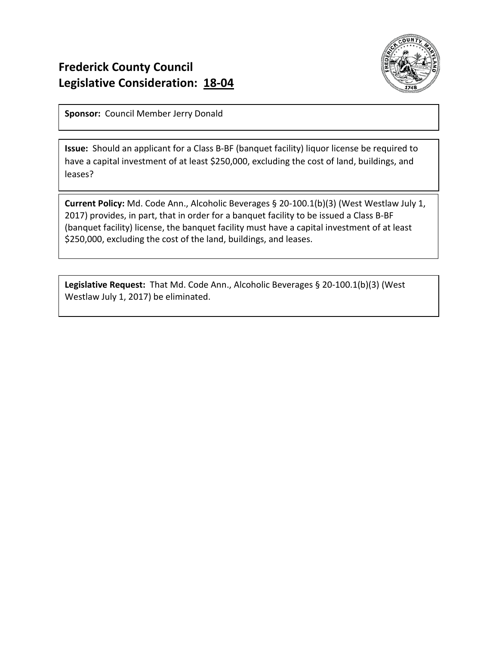

**Sponsor:** Council Member Jerry Donald

**Issue:** Should an applicant for a Class B-BF (banquet facility) liquor license be required to have a capital investment of at least \$250,000, excluding the cost of land, buildings, and leases?

**Current Policy:** Md. Code Ann., Alcoholic Beverages § 20-100.1(b)(3) (West Westlaw July 1, 2017) provides, in part, that in order for a banquet facility to be issued a Class B-BF (banquet facility) license, the banquet facility must have a capital investment of at least \$250,000, excluding the cost of the land, buildings, and leases.

**Legislative Request:** That Md. Code Ann., Alcoholic Beverages § 20-100.1(b)(3) (West Westlaw July 1, 2017) be eliminated.